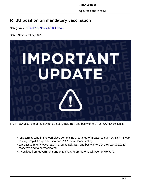https://rtbuexpress.com.au

## **RTBU position on mandatory vaccination**

**Categories :** [COVID19,](https://rtbuexpress.com.au/category/covid19/) News, RTBU News

**Date :** 3 September, 2021



The RTBU asserts that the key to protecting rail, tram and bus workers from COVID-19 lies in:

- long term testing in the workplace comprising of a range of measures such as Saliva Swab testing, Rapid Antigen Testing and PCR Surveillance testing;
- a proactive priority vaccination rollout to rail, tram and bus workers at their workplace for those wishing to be vaccinated;
- incentives from government and employers to promote vaccination of workers.